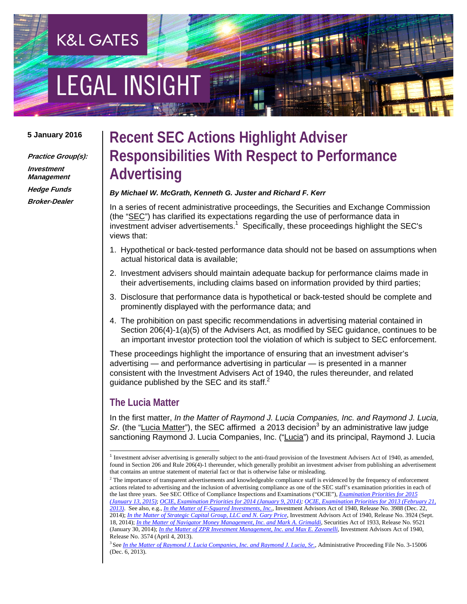# EGAL INSIGHT

**K&L GATES** 

#### **5 January 2016**

**Practice Group(s):** 

**Investment Management Hedge Funds Broker-Dealer** 

## **Recent SEC Actions Highlight Adviser Responsibilities With Respect to Performance Advertising**

#### *By Michael W. McGrath, Kenneth G. Juster and Richard F. Kerr*

In a series of recent administrative proceedings, the Securities and Exchange Commission (the "SEC") has clarified its expectations regarding the use of performance data in  $\overline{\text{in}}$  vestment adviser advertisements.<sup>1</sup> Specifically, these proceedings highlight the SEC's views that:

- 1. Hypothetical or back-tested performance data should not be based on assumptions when actual historical data is available;
- 2. Investment advisers should maintain adequate backup for performance claims made in their advertisements, including claims based on information provided by third parties;
- 3. Disclosure that performance data is hypothetical or back-tested should be complete and prominently displayed with the performance data; and
- 4. The prohibition on past specific recommendations in advertising material contained in Section 206(4)-1(a)(5) of the Advisers Act, as modified by SEC guidance, continues to be an important investor protection tool the violation of which is subject to SEC enforcement.

These proceedings highlight the importance of ensuring that an investment adviser's advertising — and performance advertising in particular — is presented in a manner consistent with the Investment Advisers Act of 1940, the rules thereunder, and related guidance published by the SEC and its staff. $2^2$ 

#### **The Lucia Matter**

l

In the first matter, *In the Matter of Raymond J. Lucia Companies, Inc. and Raymond J. Lucia,*  Sr. (the "Lucia Matter"), the SEC affirmed a 2013 decision<sup>3</sup> by an administrative law judge sanctioning Raymond J. Lucia Companies, Inc. ("Lucia") and its principal, Raymond J. Lucia

<sup>1</sup> Investment adviser advertising is generally subject to the anti-fraud provision of the Investment Advisers Act of 1940, as amended, found in Section 206 and Rule 206(4)-1 thereunder, which generally prohibit an investment adviser from publishing an advertisement that contains an untrue statement of material fact or that is otherwise false or misleading. 2

<sup>&</sup>lt;sup>2</sup> The importance of transparent advertisements and knowledgeable compliance staff is evidenced by the frequency of enforcement actions related to advertising and the inclusion of advertising compliance as one of the SEC staff's examination priorities in each of the last three years. See SEC Office of Compliance Inspections and Examinations ("OCIE"), *Examination Priorities for 2015 (January 13, 2015)*; *OCIE, Examination Priorities for 2014 (January 9, 2014); OCIE, Examination Priorities for 2013 (February 21, 2013)*. See also, e.g., *In the Matter of F-Squared Investments, Inc.*, Investment Advisors Act of 1940, Release No. 3988 (Dec. 22, 2014); *In the Matter of Strategic Capital Group, LLC and N. Gary Price*, Investment Advisors Act of 1940, Release No. 3924 (Sept. 18, 2014); *In the Matter of Navigator Money Management, Inc. and Mark A. Grimaldi*, Securities Act of 1933, Release No. 9521 (January 30, 2014); *In the Matter of ZPR Investment Management, Inc. and Max E. Zavanelli*, Investment Advisors Act of 1940, Release No. 3574 (April 4, 2013).

<sup>3</sup> See *In the Matter of Raymond J. Lucia Companies, Inc. and Raymond J. Lucia, Sr.*, Administrative Proceeding File No. 3-15006 (Dec. 6, 2013).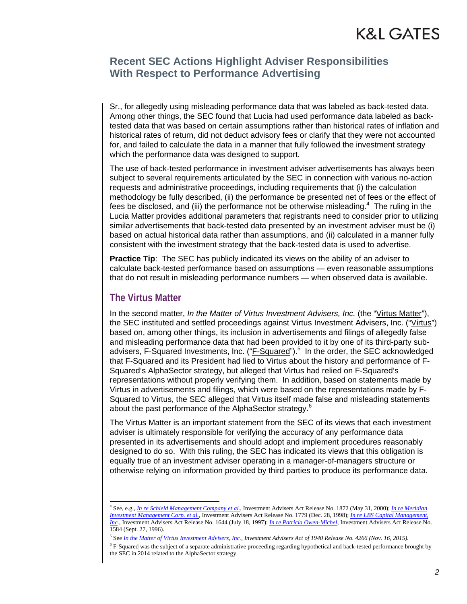#### **Recent SEC Actions Highlight Adviser Responsibilities With Respect to Performance Advertising**

Sr., for allegedly using misleading performance data that was labeled as back-tested data. Among other things, the SEC found that Lucia had used performance data labeled as backtested data that was based on certain assumptions rather than historical rates of inflation and historical rates of return, did not deduct advisory fees or clarify that they were not accounted for, and failed to calculate the data in a manner that fully followed the investment strategy which the performance data was designed to support.

The use of back-tested performance in investment adviser advertisements has always been subject to several requirements articulated by the SEC in connection with various no-action requests and administrative proceedings, including requirements that (i) the calculation methodology be fully described, (ii) the performance be presented net of fees or the effect of fees be disclosed, and (iii) the performance not be otherwise misleading. $4\,$  The ruling in the Lucia Matter provides additional parameters that registrants need to consider prior to utilizing similar advertisements that back-tested data presented by an investment adviser must be (i) based on actual historical data rather than assumptions, and (ii) calculated in a manner fully consistent with the investment strategy that the back-tested data is used to advertise.

**Practice Tip:** The SEC has publicly indicated its views on the ability of an adviser to calculate back-tested performance based on assumptions — even reasonable assumptions that do not result in misleading performance numbers — when observed data is available.

#### **The Virtus Matter**

l

In the second matter, *In the Matter of Virtus Investment Advisers, Inc.* (the "Virtus Matter"), the SEC instituted and settled proceedings against Virtus Investment Advisers, Inc. ("Virtus") based on, among other things, its inclusion in advertisements and filings of allegedly false and misleading performance data that had been provided to it by one of its third-party subadvisers, F-Squared Investments, Inc. ("F-Squared").<sup>5</sup> In the order, the SEC acknowledged that F-Squared and its President had lied to Virtus about the history and performance of F-Squared's AlphaSector strategy, but alleged that Virtus had relied on F-Squared's representations without properly verifying them. In addition, based on statements made by Virtus in advertisements and filings, which were based on the representations made by F-Squared to Virtus, the SEC alleged that Virtus itself made false and misleading statements about the past performance of the AlphaSector strategy.<sup>6</sup>

The Virtus Matter is an important statement from the SEC of its views that each investment adviser is ultimately responsible for verifying the accuracy of any performance data presented in its advertisements and should adopt and implement procedures reasonably designed to do so. With this ruling, the SEC has indicated its views that this obligation is equally true of an investment adviser operating in a manager-of-managers structure or otherwise relying on information provided by third parties to produce its performance data.

<sup>4</sup> See, e.g.*, In re Schield Management Company et al.*, Investment Advisers Act Release No. 1872 (May 31, 2000); *In re Meridian Investment Management Corp. et al.*, Investment Advisers Act Release No. 1779 (Dec. 28, 1998); *In re LBS Capital Management, Inc.*, Investment Advisers Act Release No. 1644 (July 18, 1997); *In re Patricia Owen-Michel*, Investment Advisers Act Release No. 1584 (Sept. 27, 1996).

<sup>5</sup> See *In the Matter of Virtus Investment Advisers, Inc., Investment Advisers Act of 1940 Release No. 4266 (Nov. 16, 2015).*

<sup>&</sup>lt;sup>6</sup> F-Squared was the subject of a separate administrative proceeding regarding hypothetical and back-tested performance brought by the SEC in 2014 related to the AlphaSector strategy.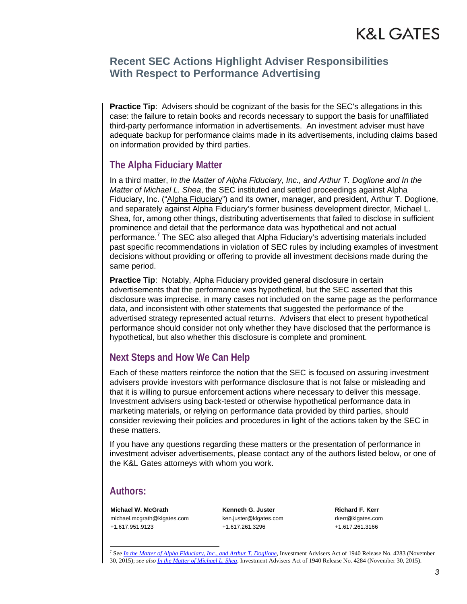#### **Recent SEC Actions Highlight Adviser Responsibilities With Respect to Performance Advertising**

**Practice Tip**: Advisers should be cognizant of the basis for the SEC's allegations in this case: the failure to retain books and records necessary to support the basis for unaffiliated third-party performance information in advertisements. An investment adviser must have adequate backup for performance claims made in its advertisements, including claims based on information provided by third parties.

#### **The Alpha Fiduciary Matter**

In a third matter, *In the Matter of Alpha Fiduciary, Inc., and Arthur T. Doglione and In the Matter of Michael L. Shea*, the SEC instituted and settled proceedings against Alpha Fiduciary, Inc. ("Alpha Fiduciary") and its owner, manager, and president, Arthur T. Doglione, and separately against Alpha Fiduciary's former business development director, Michael L. Shea, for, among other things, distributing advertisements that failed to disclose in sufficient prominence and detail that the performance data was hypothetical and not actual .<br>performance.<sup>7</sup> The SEC also alleged that Alpha Fiduciary's advertising materials included past specific recommendations in violation of SEC rules by including examples of investment decisions without providing or offering to provide all investment decisions made during the same period.

**Practice Tip:** Notably, Alpha Fiduciary provided general disclosure in certain advertisements that the performance was hypothetical, but the SEC asserted that this disclosure was imprecise, in many cases not included on the same page as the performance data, and inconsistent with other statements that suggested the performance of the advertised strategy represented actual returns. Advisers that elect to present hypothetical performance should consider not only whether they have disclosed that the performance is hypothetical, but also whether this disclosure is complete and prominent.

#### **Next Steps and How We Can Help**

Each of these matters reinforce the notion that the SEC is focused on assuring investment advisers provide investors with performance disclosure that is not false or misleading and that it is willing to pursue enforcement actions where necessary to deliver this message. Investment advisers using back-tested or otherwise hypothetical performance data in marketing materials, or relying on performance data provided by third parties, should consider reviewing their policies and procedures in light of the actions taken by the SEC in these matters.

If you have any questions regarding these matters or the presentation of performance in investment adviser advertisements, please contact any of the authors listed below, or one of the K&L Gates attorneys with whom you work.

#### **Authors:**

l

**Michael W. McGrath**  michael.mcgrath@klgates.com +1.617.951.9123

**Kenneth G. Juster**  ken.juster@klgates.com +1.617.261.3296

**Richard F. Kerr**  rkerr@klgates.com +1.617.261.3166

<sup>7</sup> See *In the Matter of Alpha Fiduciary, Inc., and Arthur T. Doglione*, Investment Advisers Act of 1940 Release No. 4283 (November 30, 2015); *see also In the Matter of Michael L. Shea*, Investment Advisers Act of 1940 Release No. 4284 (November 30, 2015).